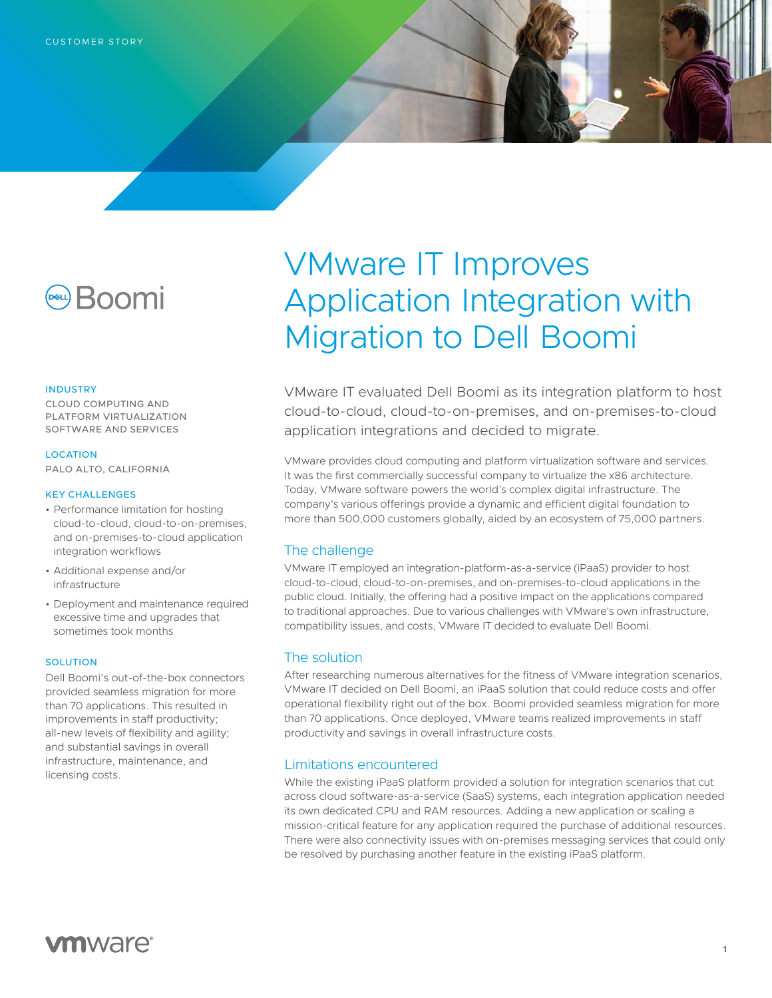

#### INDUSTRY

CLOUD COMPUTING AND PLATFORM VIRTUALIZATION SOFTWARE AND SERVICES

#### LOCATION

PALO ALTO, CALIFORNIA

#### KEY CHALLENGES

- Performance limitation for hosting cloud-to-cloud, cloud-to-on-premises, and on-premises-to-cloud application integration workflows
- Additional expense and/or infrastructure
- Deployment and maintenance required excessive time and upgrades that sometimes took months

#### **SOLUTION**

Dell Boomi's out-of-the-box connectors provided seamless migration for more than 70 applications. This resulted in improvements in staff productivity; all-new levels of flexibility and agility; and substantial savings in overall infrastructure, maintenance, and licensing costs.

# VMware IT Improves Application Integration with Migration to Dell Boomi

VMware IT evaluated Dell Boomi as its integration platform to host cloud-to-cloud, cloud-to-on-premises, and on-premises-to-cloud application integrations and decided to migrate.

VMware provides cloud computing and platform virtualization software and services. It was the first commercially successful company to virtualize the x86 architecture. Today, VMware software powers the world's complex digital infrastructure. The company's various offerings provide a dynamic and efficient digital foundation to more than 500,000 customers globally, aided by an ecosystem of 75,000 partners.

## The challenge

VMware IT employed an integration-platform-as-a-service (iPaaS) provider to host cloud-to-cloud, cloud-to-on-premises, and on-premises-to-cloud applications in the public cloud. Initially, the offering had a positive impact on the applications compared to traditional approaches. Due to various challenges with VMware's own infrastructure, compatibility issues, and costs, VMware IT decided to evaluate Dell Boomi.

## The solution

After researching numerous alternatives for the fitness of VMware integration scenarios, VMware IT decided on Dell Boomi, an iPaaS solution that could reduce costs and offer operational flexibility right out of the box. Boomi provided seamless migration for more than 70 applications. Once deployed, VMware teams realized improvements in staff productivity and savings in overall infrastructure costs.

## Limitations encountered

While the existing iPaaS platform provided a solution for integration scenarios that cut across cloud software-as-a-service (SaaS) systems, each integration application needed its own dedicated CPU and RAM resources. Adding a new application or scaling a mission-critical feature for any application required the purchase of additional resources. There were also connectivity issues with on-premises messaging services that could only be resolved by purchasing another feature in the existing iPaaS platform.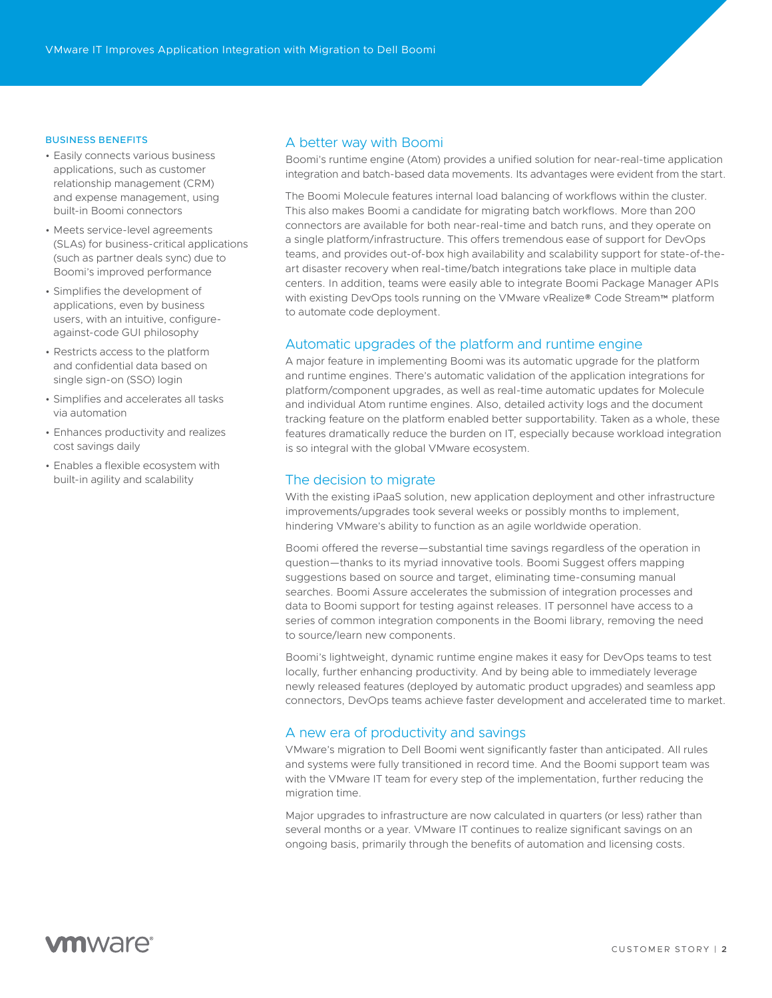#### BUSINESS BENEFITS

- Easily connects various business applications, such as customer relationship management (CRM) and expense management, using built-in Boomi connectors
- Meets service-level agreements (SLAs) for business-critical applications (such as partner deals sync) due to Boomi's improved performance
- Simplifies the development of applications, even by business users, with an intuitive, configureagainst-code GUI philosophy
- Restricts access to the platform and confidential data based on single sign-on (SSO) login
- Simplifies and accelerates all tasks via automation
- Enhances productivity and realizes cost savings daily
- Enables a flexible ecosystem with built-in agility and scalability

## A better way with Boomi

Boomi's runtime engine (Atom) provides a unified solution for near-real-time application integration and batch-based data movements. Its advantages were evident from the start.

The Boomi Molecule features internal load balancing of workflows within the cluster. This also makes Boomi a candidate for migrating batch workflows. More than 200 connectors are available for both near-real-time and batch runs, and they operate on a single platform/infrastructure. This offers tremendous ease of support for DevOps teams, and provides out-of-box high availability and scalability support for state-of-theart disaster recovery when real-time/batch integrations take place in multiple data centers. In addition, teams were easily able to integrate Boomi Package Manager APIs with existing DevOps tools running on the VMware vRealize® Code Stream™ platform to automate code deployment.

## Automatic upgrades of the platform and runtime engine

A major feature in implementing Boomi was its automatic upgrade for the platform and runtime engines. There's automatic validation of the application integrations for platform/component upgrades, as well as real-time automatic updates for Molecule and individual Atom runtime engines. Also, detailed activity logs and the document tracking feature on the platform enabled better supportability. Taken as a whole, these features dramatically reduce the burden on IT, especially because workload integration is so integral with the global VMware ecosystem.

## The decision to migrate

With the existing iPaaS solution, new application deployment and other infrastructure improvements/upgrades took several weeks or possibly months to implement, hindering VMware's ability to function as an agile worldwide operation.

Boomi offered the reverse—substantial time savings regardless of the operation in question—thanks to its myriad innovative tools. Boomi Suggest offers mapping suggestions based on source and target, eliminating time-consuming manual searches. Boomi Assure accelerates the submission of integration processes and data to Boomi support for testing against releases. IT personnel have access to a series of common integration components in the Boomi library, removing the need to source/learn new components.

Boomi's lightweight, dynamic runtime engine makes it easy for DevOps teams to test locally, further enhancing productivity. And by being able to immediately leverage newly released features (deployed by automatic product upgrades) and seamless app connectors, DevOps teams achieve faster development and accelerated time to market.

## A new era of productivity and savings

VMware's migration to Dell Boomi went significantly faster than anticipated. All rules and systems were fully transitioned in record time. And the Boomi support team was with the VMware IT team for every step of the implementation, further reducing the migration time.

Major upgrades to infrastructure are now calculated in quarters (or less) rather than several months or a year. VMware IT continues to realize significant savings on an ongoing basis, primarily through the benefits of automation and licensing costs.